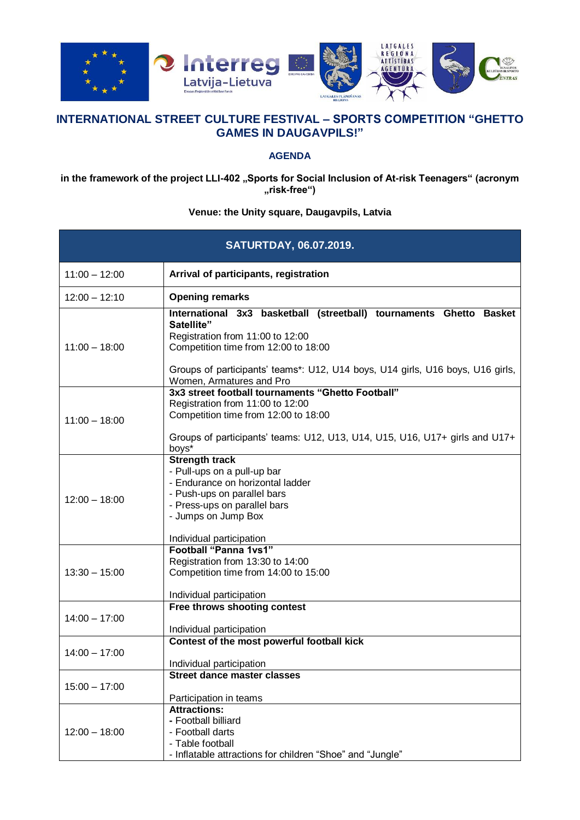

## **INTERNATIONAL STREET CULTURE FESTIVAL – SPORTS COMPETITION "GHETTO GAMES IN DAUGAVPILS!"**

## **AGENDA**

in the framework of the project LLI-402 "Sports for Social Inclusion of At-risk Teenagers" (acronym **"risk-free")**

## **Venue: the Unity square, Daugavpils, Latvia**

| <b>SATURTDAY, 06.07.2019.</b> |                                                                                                                                                                                                                                                                             |
|-------------------------------|-----------------------------------------------------------------------------------------------------------------------------------------------------------------------------------------------------------------------------------------------------------------------------|
| $11:00 - 12:00$               | Arrival of participants, registration                                                                                                                                                                                                                                       |
| $12:00 - 12:10$               | <b>Opening remarks</b>                                                                                                                                                                                                                                                      |
| $11:00 - 18:00$               | International 3x3 basketball (streetball) tournaments Ghetto Basket<br>Satellite"<br>Registration from 11:00 to 12:00<br>Competition time from 12:00 to 18:00<br>Groups of participants' teams*: U12, U14 boys, U14 girls, U16 boys, U16 girls,<br>Women, Armatures and Pro |
| $11:00 - 18:00$               | 3x3 street football tournaments "Ghetto Football"<br>Registration from 11:00 to 12:00<br>Competition time from 12:00 to 18:00<br>Groups of participants' teams: U12, U13, U14, U15, U16, U17+ girls and U17+<br>boys*                                                       |
| $12:00 - 18:00$               | <b>Strength track</b><br>- Pull-ups on a pull-up bar<br>- Endurance on horizontal ladder<br>- Push-ups on parallel bars<br>- Press-ups on parallel bars<br>- Jumps on Jump Box<br>Individual participation                                                                  |
| $13:30 - 15:00$               | <b>Football "Panna 1vs1"</b><br>Registration from 13:30 to 14:00<br>Competition time from 14:00 to 15:00<br>Individual participation                                                                                                                                        |
| $14:00 - 17:00$               | Free throws shooting contest<br>Individual participation                                                                                                                                                                                                                    |
| $14:00 - 17:00$               | Contest of the most powerful football kick<br>Individual participation                                                                                                                                                                                                      |
| $15:00 - 17:00$               | <b>Street dance master classes</b><br>Participation in teams                                                                                                                                                                                                                |
| $12:00 - 18:00$               | <b>Attractions:</b><br>- Football billiard<br>- Football darts<br>- Table football<br>- Inflatable attractions for children "Shoe" and "Jungle"                                                                                                                             |